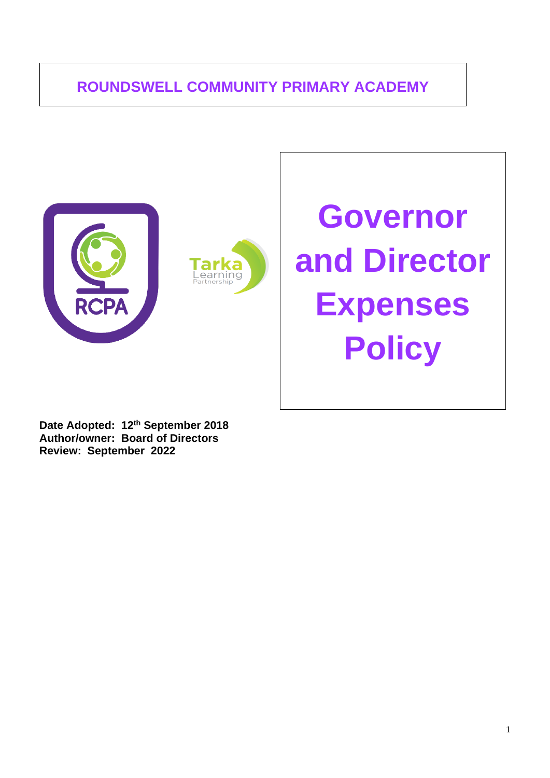# **ROUNDSWELL COMMUNITY PRIMARY ACADEMY**





# **Governor and Director Expenses Policy**

**Date Adopted: 12th September 2018 Author/owner: Board of Directors Review: September 2022**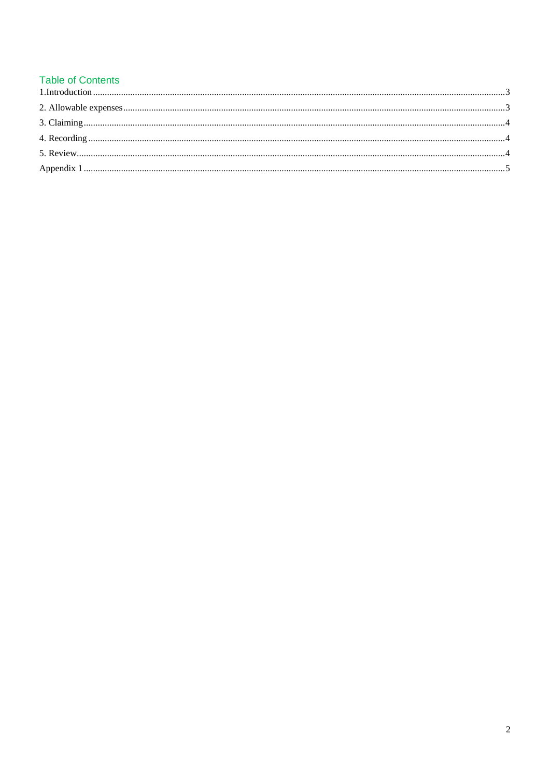### **Table of Contents**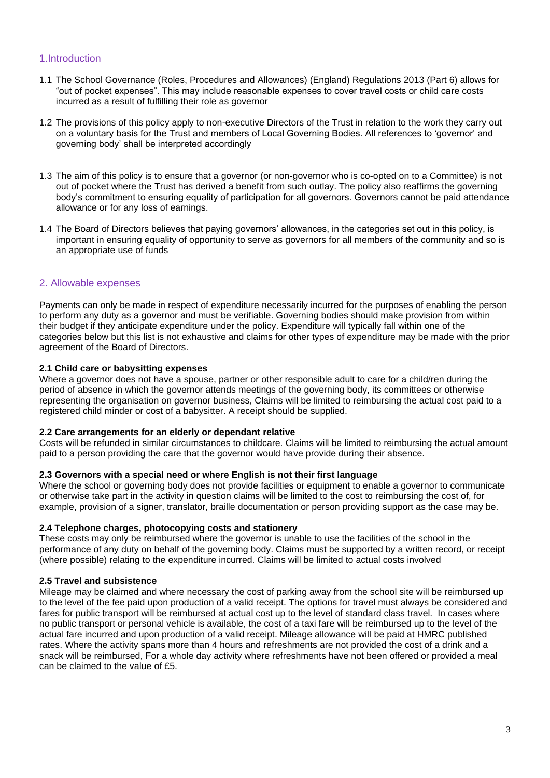#### <span id="page-2-0"></span>1.Introduction

- 1.1 The School Governance (Roles, Procedures and Allowances) (England) Regulations 2013 (Part 6) allows for "out of pocket expenses". This may include reasonable expenses to cover travel costs or child care costs incurred as a result of fulfilling their role as governor
- 1.2 The provisions of this policy apply to non-executive Directors of the Trust in relation to the work they carry out on a voluntary basis for the Trust and members of Local Governing Bodies. All references to 'governor' and governing body' shall be interpreted accordingly
- 1.3 The aim of this policy is to ensure that a governor (or non-governor who is co-opted on to a Committee) is not out of pocket where the Trust has derived a benefit from such outlay. The policy also reaffirms the governing body's commitment to ensuring equality of participation for all governors. Governors cannot be paid attendance allowance or for any loss of earnings.
- 1.4 The Board of Directors believes that paying governors' allowances, in the categories set out in this policy, is important in ensuring equality of opportunity to serve as governors for all members of the community and so is an appropriate use of funds

#### <span id="page-2-1"></span>2. Allowable expenses

Payments can only be made in respect of expenditure necessarily incurred for the purposes of enabling the person to perform any duty as a governor and must be verifiable. Governing bodies should make provision from within their budget if they anticipate expenditure under the policy. Expenditure will typically fall within one of the categories below but this list is not exhaustive and claims for other types of expenditure may be made with the prior agreement of the Board of Directors.

#### **2.1 Child care or babysitting expenses**

Where a governor does not have a spouse, partner or other responsible adult to care for a child/ren during the period of absence in which the governor attends meetings of the governing body, its committees or otherwise representing the organisation on governor business, Claims will be limited to reimbursing the actual cost paid to a registered child minder or cost of a babysitter. A receipt should be supplied.

#### **2.2 Care arrangements for an elderly or dependant relative**

Costs will be refunded in similar circumstances to childcare. Claims will be limited to reimbursing the actual amount paid to a person providing the care that the governor would have provide during their absence.

#### **2.3 Governors with a special need or where English is not their first language**

Where the school or governing body does not provide facilities or equipment to enable a governor to communicate or otherwise take part in the activity in question claims will be limited to the cost to reimbursing the cost of, for example, provision of a signer, translator, braille documentation or person providing support as the case may be.

#### **2.4 Telephone charges, photocopying costs and stationery**

These costs may only be reimbursed where the governor is unable to use the facilities of the school in the performance of any duty on behalf of the governing body. Claims must be supported by a written record, or receipt (where possible) relating to the expenditure incurred. Claims will be limited to actual costs involved

#### **2.5 Travel and subsistence**

Mileage may be claimed and where necessary the cost of parking away from the school site will be reimbursed up to the level of the fee paid upon production of a valid receipt. The options for travel must always be considered and fares for public transport will be reimbursed at actual cost up to the level of standard class travel. In cases where no public transport or personal vehicle is available, the cost of a taxi fare will be reimbursed up to the level of the actual fare incurred and upon production of a valid receipt. Mileage allowance will be paid at HMRC published rates. Where the activity spans more than 4 hours and refreshments are not provided the cost of a drink and a snack will be reimbursed, For a whole day activity where refreshments have not been offered or provided a meal can be claimed to the value of £5.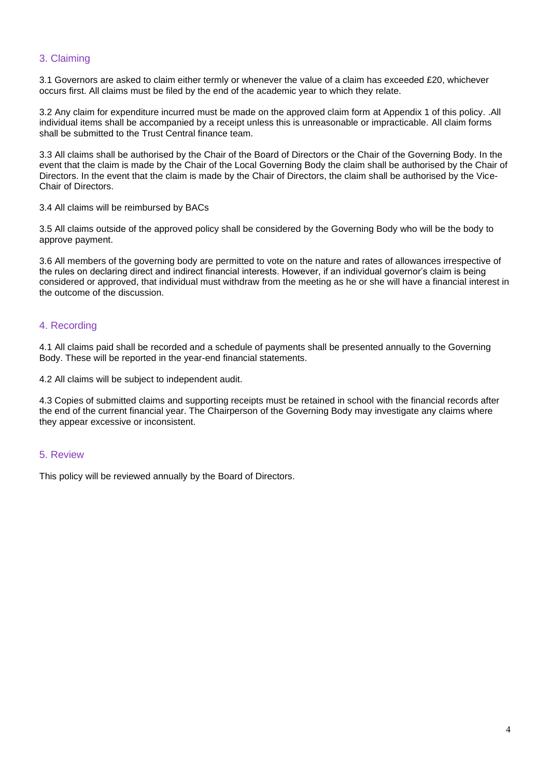#### <span id="page-3-0"></span>3. Claiming

3.1 Governors are asked to claim either termly or whenever the value of a claim has exceeded £20, whichever occurs first. All claims must be filed by the end of the academic year to which they relate.

3.2 Any claim for expenditure incurred must be made on the approved claim form at Appendix 1 of this policy. .All individual items shall be accompanied by a receipt unless this is unreasonable or impracticable. All claim forms shall be submitted to the Trust Central finance team.

3.3 All claims shall be authorised by the Chair of the Board of Directors or the Chair of the Governing Body. In the event that the claim is made by the Chair of the Local Governing Body the claim shall be authorised by the Chair of Directors. In the event that the claim is made by the Chair of Directors, the claim shall be authorised by the Vice-Chair of Directors.

3.4 All claims will be reimbursed by BACs

3.5 All claims outside of the approved policy shall be considered by the Governing Body who will be the body to approve payment.

3.6 All members of the governing body are permitted to vote on the nature and rates of allowances irrespective of the rules on declaring direct and indirect financial interests. However, if an individual governor's claim is being considered or approved, that individual must withdraw from the meeting as he or she will have a financial interest in the outcome of the discussion.

#### <span id="page-3-1"></span>4. Recording

4.1 All claims paid shall be recorded and a schedule of payments shall be presented annually to the Governing Body. These will be reported in the year-end financial statements.

4.2 All claims will be subject to independent audit.

4.3 Copies of submitted claims and supporting receipts must be retained in school with the financial records after the end of the current financial year. The Chairperson of the Governing Body may investigate any claims where they appear excessive or inconsistent.

#### <span id="page-3-2"></span>5. Review

This policy will be reviewed annually by the Board of Directors.